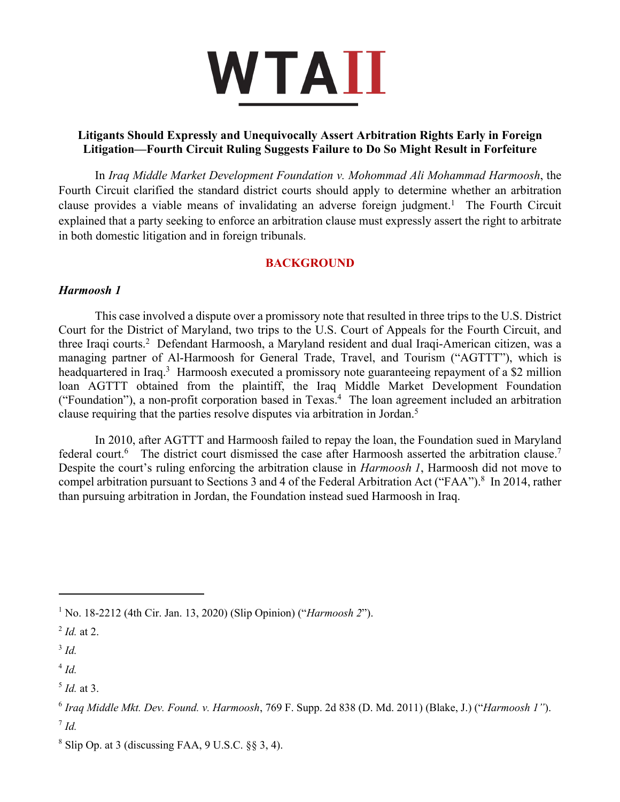

# **Litigants Should Expressly and Unequivocally Assert Arbitration Rights Early in Foreign Litigation—Fourth Circuit Ruling Suggests Failure to Do So Might Result in Forfeiture**

In *Iraq Middle Market Development Foundation v. Mohommad Ali Mohammad Harmoosh*, the Fourth Circuit clarified the standard district courts should apply to determine whether an arbitration clause provides a viable means of invalidating an adverse foreign judgment.<sup>1</sup> The Fourth Circuit explained that a party seeking to enforce an arbitration clause must expressly assert the right to arbitrate in both domestic litigation and in foreign tribunals.

## **BACKGROUND**

## *Harmoosh 1*

This case involved a dispute over a promissory note that resulted in three trips to the U.S. District Court for the District of Maryland, two trips to the U.S. Court of Appeals for the Fourth Circuit, and three Iraqi courts.2 Defendant Harmoosh, a Maryland resident and dual Iraqi-American citizen, was a managing partner of Al-Harmoosh for General Trade, Travel, and Tourism ("AGTTT"), which is headquartered in Iraq.<sup>3</sup> Harmoosh executed a promissory note guaranteeing repayment of a \$2 million loan AGTTT obtained from the plaintiff, the Iraq Middle Market Development Foundation ("Foundation"), a non-profit corporation based in Texas.4 The loan agreement included an arbitration clause requiring that the parties resolve disputes via arbitration in Jordan.5

In 2010, after AGTTT and Harmoosh failed to repay the loan, the Foundation sued in Maryland federal court.<sup>6</sup> The district court dismissed the case after Harmoosh asserted the arbitration clause.<sup>7</sup> Despite the court's ruling enforcing the arbitration clause in *Harmoosh 1*, Harmoosh did not move to compel arbitration pursuant to Sections 3 and 4 of the Federal Arbitration Act ("FAA").<sup>8</sup> In 2014, rather than pursuing arbitration in Jordan, the Foundation instead sued Harmoosh in Iraq.

<sup>1</sup> No. 18-2212 (4th Cir. Jan. 13, 2020) (Slip Opinion) ("*Harmoosh 2*").

 $^{2}$  *Id.* at 2.

<sup>3</sup> *Id.*

<sup>4</sup> *Id.*

<sup>5</sup> *Id.* at 3.

<sup>6</sup> *Iraq Middle Mkt. Dev. Found. v. Harmoosh*, 769 F. Supp. 2d 838 (D. Md. 2011) (Blake, J.) ("*Harmoosh 1"*).  $^7$  *Id.* 

 $8$  Slip Op. at 3 (discussing FAA, 9 U.S.C.  $\S$ § 3, 4).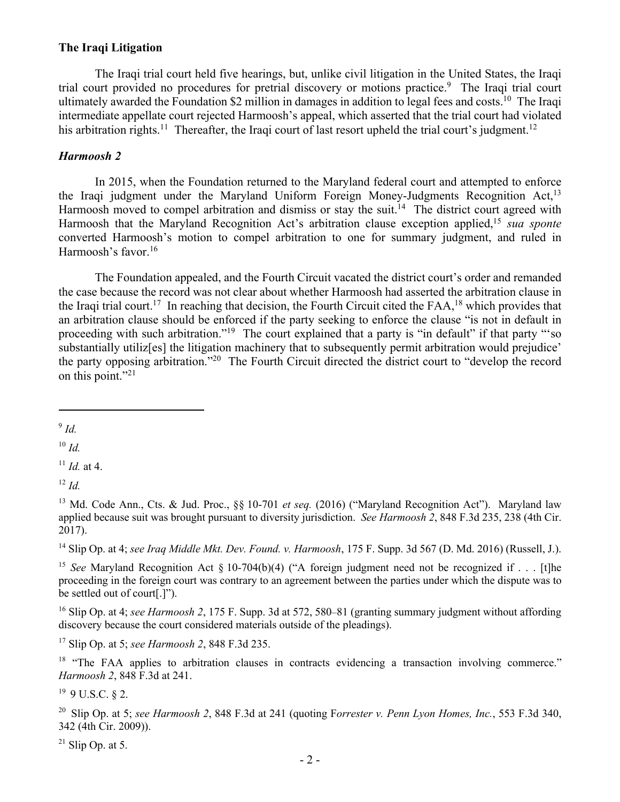## **The Iraqi Litigation**

The Iraqi trial court held five hearings, but, unlike civil litigation in the United States, the Iraqi trial court provided no procedures for pretrial discovery or motions practice. 9 The Iraqi trial court ultimately awarded the Foundation \$2 million in damages in addition to legal fees and costs.<sup>10</sup> The Iraqi intermediate appellate court rejected Harmoosh's appeal, which asserted that the trial court had violated his arbitration rights.<sup>11</sup> Thereafter, the Iraqi court of last resort upheld the trial court's judgment.<sup>12</sup>

#### *Harmoosh 2*

In 2015, when the Foundation returned to the Maryland federal court and attempted to enforce the Iraqi judgment under the Maryland Uniform Foreign Money-Judgments Recognition Act,<sup>13</sup> Harmoosh moved to compel arbitration and dismiss or stay the suit.<sup>14</sup> The district court agreed with Harmoosh that the Maryland Recognition Act's arbitration clause exception applied, <sup>15</sup> *sua sponte* converted Harmoosh's motion to compel arbitration to one for summary judgment, and ruled in Harmoosh's favor. 16

The Foundation appealed, and the Fourth Circuit vacated the district court's order and remanded the case because the record was not clear about whether Harmoosh had asserted the arbitration clause in the Iraqi trial court.<sup>17</sup> In reaching that decision, the Fourth Circuit cited the  ${\rm FAA}$ ,<sup>18</sup> which provides that an arbitration clause should be enforced if the party seeking to enforce the clause "is not in default in proceeding with such arbitration."19 The court explained that a party is "in default" if that party "'so substantially utilizer the litigation machinery that to subsequently permit arbitration would prejudice' the party opposing arbitration."20 The Fourth Circuit directed the district court to "develop the record on this point."21

<sup>10</sup> *Id.*

<sup>11</sup> *Id.* at 4.

<sup>12</sup> *Id.*

<sup>15</sup> *See* Maryland Recognition Act § 10-704(b)(4) ("A foreign judgment need not be recognized if . . . [t]he proceeding in the foreign court was contrary to an agreement between the parties under which the dispute was to be settled out of court[.]").

<sup>16</sup> Slip Op. at 4; *see Harmoosh 2*, 175 F. Supp. 3d at 572, 580–81 (granting summary judgment without affording discovery because the court considered materials outside of the pleadings).

<sup>17</sup> Slip Op. at 5; *see Harmoosh 2*, 848 F.3d 235.

<sup>18</sup> "The FAA applies to arbitration clauses in contracts evidencing a transaction involving commerce." *Harmoosh 2*, 848 F.3d at 241.

 $19$  9 U.S.C. 82.

<sup>20</sup> Slip Op. at 5; *see Harmoosh 2*, 848 F.3d at 241 (quoting F*orrester v. Penn Lyon Homes, Inc.*, 553 F.3d 340, 342 (4th Cir. 2009)).

 $^{21}$  Slip Op. at 5.

<sup>9</sup> *Id.*

<sup>&</sup>lt;sup>13</sup> Md. Code Ann., Cts. & Jud. Proc., §§ 10-701 *et seq.* (2016) ("Maryland Recognition Act"). Maryland law applied because suit was brought pursuant to diversity jurisdiction. *See Harmoosh 2*, 848 F.3d 235, 238 (4th Cir. 2017).

<sup>14</sup> Slip Op. at 4; *see Iraq Middle Mkt. Dev. Found. v. Harmoosh*, 175 F. Supp. 3d 567 (D. Md. 2016) (Russell, J.).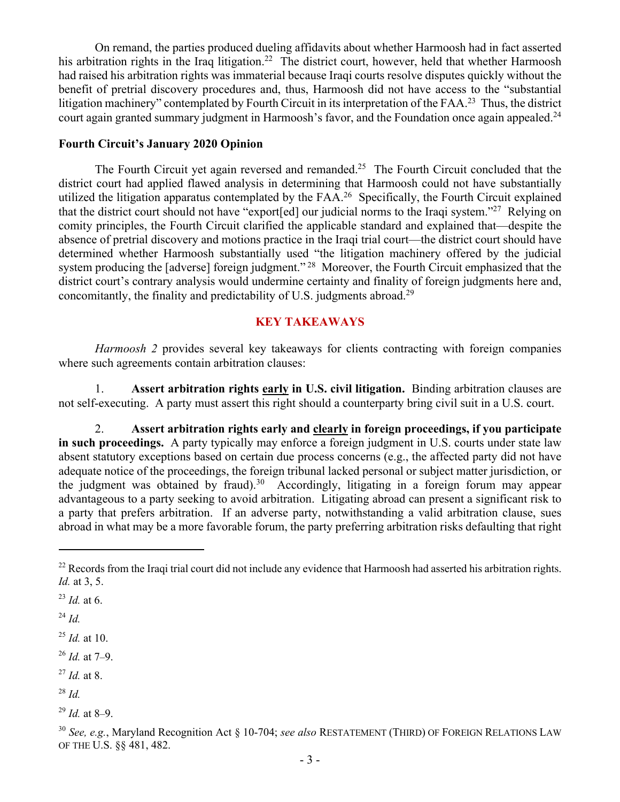On remand, the parties produced dueling affidavits about whether Harmoosh had in fact asserted his arbitration rights in the Iraq litigation.<sup>22</sup> The district court, however, held that whether Harmoosh had raised his arbitration rights was immaterial because Iraqi courts resolve disputes quickly without the benefit of pretrial discovery procedures and, thus, Harmoosh did not have access to the "substantial litigation machinery" contemplated by Fourth Circuit in its interpretation of the FAA.<sup>23</sup> Thus, the district court again granted summary judgment in Harmoosh's favor, and the Foundation once again appealed.<sup>24</sup>

#### **Fourth Circuit's January 2020 Opinion**

The Fourth Circuit yet again reversed and remanded.<sup>25</sup> The Fourth Circuit concluded that the district court had applied flawed analysis in determining that Harmoosh could not have substantially utilized the litigation apparatus contemplated by the  $FAA<sup>26</sup>$  Specifically, the Fourth Circuit explained that the district court should not have "export[ed] our judicial norms to the Iraqi system."27 Relying on comity principles, the Fourth Circuit clarified the applicable standard and explained that—despite the absence of pretrial discovery and motions practice in the Iraqi trial court—the district court should have determined whether Harmoosh substantially used "the litigation machinery offered by the judicial system producing the [adverse] foreign judgment."<sup>28</sup> Moreover, the Fourth Circuit emphasized that the district court's contrary analysis would undermine certainty and finality of foreign judgments here and, concomitantly, the finality and predictability of U.S. judgments abroad.29

## **KEY TAKEAWAYS**

*Harmoosh 2* provides several key takeaways for clients contracting with foreign companies where such agreements contain arbitration clauses:

1. **Assert arbitration rights early in U.S. civil litigation.** Binding arbitration clauses are not self-executing. A party must assert this right should a counterparty bring civil suit in a U.S. court.

2. **Assert arbitration rights early and clearly in foreign proceedings, if you participate in such proceedings.** A party typically may enforce a foreign judgment in U.S. courts under state law absent statutory exceptions based on certain due process concerns (e.g., the affected party did not have adequate notice of the proceedings, the foreign tribunal lacked personal or subject matter jurisdiction, or the judgment was obtained by fraud).<sup>30</sup> Accordingly, litigating in a foreign forum may appear advantageous to a party seeking to avoid arbitration. Litigating abroad can present a significant risk to a party that prefers arbitration. If an adverse party, notwithstanding a valid arbitration clause, sues abroad in what may be a more favorable forum, the party preferring arbitration risks defaulting that right

<sup>25</sup> *Id.* at 10.

<sup>26</sup> *Id.* at 7–9.

- <sup>27</sup> *Id.* at 8.
- <sup>28</sup> *Id.*

 $^{22}$  Records from the Iraqi trial court did not include any evidence that Harmoosh had asserted his arbitration rights. *Id.* at 3, 5.

<sup>23</sup> *Id.* at 6.

<sup>24</sup> *Id.*

 $^{29}$  *Id.* at 8–9.

<sup>30</sup> *See, e.g.*, Maryland Recognition Act § 10-704; *see also* RESTATEMENT (THIRD) OF FOREIGN RELATIONS LAW OF THE U.S. §§ 481, 482.